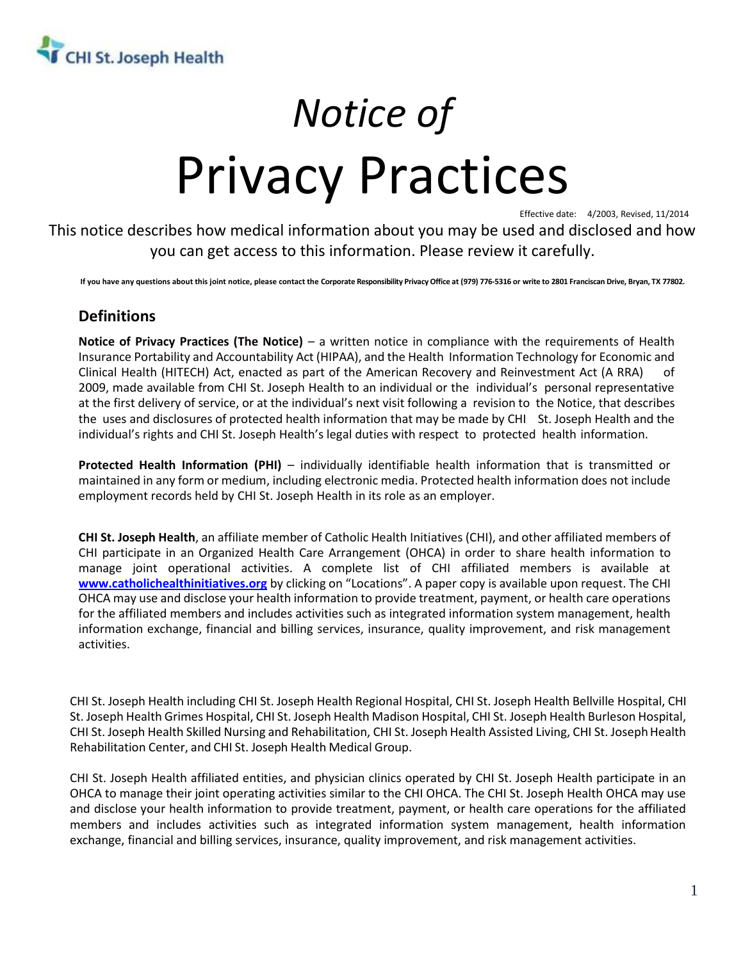

# *Notice of* Privacy Practices

Effective date: 4/2003, Revised, 11/2014

This notice describes how medical information about you may be used and disclosed and how you can get access to this information. Please review it carefully.

**If you have any questions about this joint notice, please contact the Corporate Responsibility Privacy Office at (979) 776-5316 or write to 2801 Franciscan Drive, Bryan, TX 77802.**

# **Definitions**

**Notice of Privacy Practices (The Notice)** – a written notice in compliance with the requirements of Health Insurance Portability and Accountability Act (HIPAA), and the Health Information Technology for Economic and Clinical Health (HITECH) Act, enacted as part of the American Recovery and Reinvestment Act (A RRA) of 2009, made available from CHI St. Joseph Health to an individual or the individual's personal representative at the first delivery of service, or at the individual's next visit following a revision to the Notice, that describes the uses and disclosures of protected health information that may be made by CHI St. Joseph Health and the individual's rights and CHI St. Joseph Health's legal duties with respect to protected health information.

**Protected Health Information (PHI)** – individually identifiable health information that is transmitted or maintained in any form or medium, including electronic media. Protected health information does not include employment records held by CHI St. Joseph Health in its role as an employer.

**CHI St. Joseph Health**, an affiliate member of Catholic Health Initiatives (CHI), and other affiliated members of CHI participate in an Organized Health Care Arrangement (OHCA) in order to share health information to manage joint operational activities. A complete list of CHI affiliated members is available at **[www.catholichealthinitiatives.org](http://www.catholichealthinitiatives.org/)** by clicking on "Locations". A paper copy is available upon request. The CHI OHCA may use and disclose your health information to provide treatment, payment, or health care operations for the affiliated members and includes activities such as integrated information system management, health information exchange, financial and billing services, insurance, quality improvement, and risk management activities.

CHI St. Joseph Health including CHI St. Joseph Health Regional Hospital, CHI St. Joseph Health Bellville Hospital, CHI St. Joseph Health Grimes Hospital, CHI St. Joseph Health Madison Hospital, CHI St. Joseph Health Burleson Hospital, CHI St. Joseph Health Skilled Nursing and Rehabilitation, CHI St. Joseph Health Assisted Living, CHI St. Joseph Health Rehabilitation Center, and CHI St. Joseph Health Medical Group.

CHI St. Joseph Health affiliated entities, and physician clinics operated by CHI St. Joseph Health participate in an OHCA to manage their joint operating activities similar to the CHI OHCA. The CHI St. Joseph Health OHCA may use and disclose your health information to provide treatment, payment, or health care operations for the affiliated members and includes activities such as integrated information system management, health information exchange, financial and billing services, insurance, quality improvement, and risk management activities.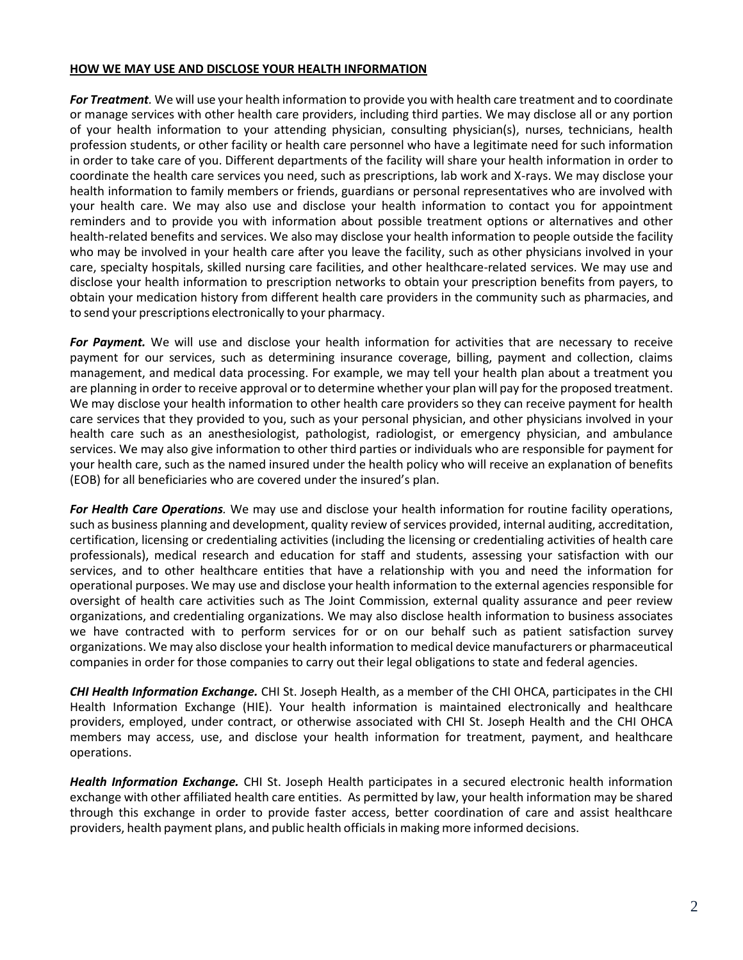#### **HOW WE MAY USE AND DISCLOSE YOUR HEALTH INFORMATION**

*For Treatment.* We will use your health information to provide you with health care treatment and to coordinate or manage services with other health care providers, including third parties. We may disclose all or any portion of your health information to your attending physician, consulting physician(s), nurses, technicians, health profession students, or other facility or health care personnel who have a legitimate need for such information in order to take care of you. Different departments of the facility will share your health information in order to coordinate the health care services you need, such as prescriptions, lab work and X-rays. We may disclose your health information to family members or friends, guardians or personal representatives who are involved with your health care. We may also use and disclose your health information to contact you for appointment reminders and to provide you with information about possible treatment options or alternatives and other health-related benefits and services. We also may disclose your health information to people outside the facility who may be involved in your health care after you leave the facility, such as other physicians involved in your care, specialty hospitals, skilled nursing care facilities, and other healthcare-related services. We may use and disclose your health information to prescription networks to obtain your prescription benefits from payers, to obtain your medication history from different health care providers in the community such as pharmacies, and to send your prescriptions electronically to your pharmacy.

*For Payment.* We will use and disclose your health information for activities that are necessary to receive payment for our services, such as determining insurance coverage, billing, payment and collection, claims management, and medical data processing. For example, we may tell your health plan about a treatment you are planning in order to receive approval or to determine whether your plan will pay for the proposed treatment. We may disclose your health information to other health care providers so they can receive payment for health care services that they provided to you, such as your personal physician, and other physicians involved in your health care such as an anesthesiologist, pathologist, radiologist, or emergency physician, and ambulance services. We may also give information to other third parties or individuals who are responsible for payment for your health care, such as the named insured under the health policy who will receive an explanation of benefits (EOB) for all beneficiaries who are covered under the insured's plan.

*For Health Care Operations.* We may use and disclose your health information for routine facility operations, such as business planning and development, quality review of services provided, internal auditing, accreditation, certification, licensing or credentialing activities (including the licensing or credentialing activities of health care professionals), medical research and education for staff and students, assessing your satisfaction with our services, and to other healthcare entities that have a relationship with you and need the information for operational purposes. We may use and disclose your health information to the external agencies responsible for oversight of health care activities such as The Joint Commission, external quality assurance and peer review organizations, and credentialing organizations. We may also disclose health information to business associates we have contracted with to perform services for or on our behalf such as patient satisfaction survey organizations. We may also disclose your health information to medical device manufacturers or pharmaceutical companies in order for those companies to carry out their legal obligations to state and federal agencies.

*CHI Health Information Exchange.* CHI St. Joseph Health, as a member of the CHI OHCA, participates in the CHI Health Information Exchange (HIE). Your health information is maintained electronically and healthcare providers, employed, under contract, or otherwise associated with CHI St. Joseph Health and the CHI OHCA members may access, use, and disclose your health information for treatment, payment, and healthcare operations.

*Health Information Exchange.* CHI St. Joseph Health participates in a secured electronic health information exchange with other affiliated health care entities. As permitted by law, your health information may be shared through this exchange in order to provide faster access, better coordination of care and assist healthcare providers, health payment plans, and public health officialsin making more informed decisions.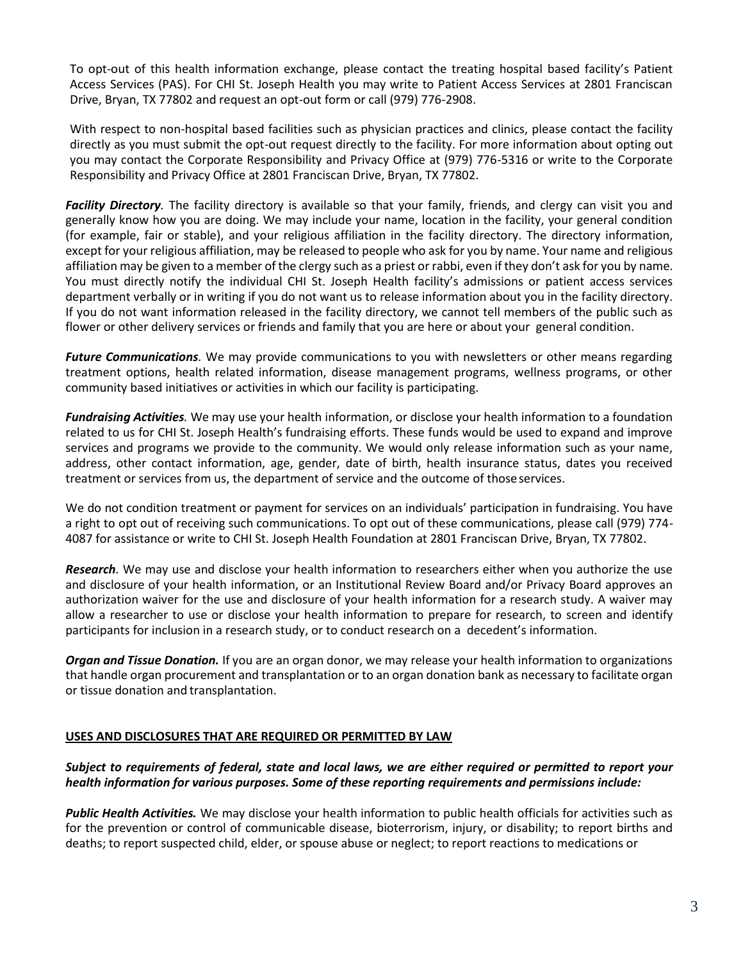To opt-out of this health information exchange, please contact the treating hospital based facility's Patient Access Services (PAS). For CHI St. Joseph Health you may write to Patient Access Services at 2801 Franciscan Drive, Bryan, TX 77802 and request an opt-out form or call (979) 776-2908.

With respect to non-hospital based facilities such as physician practices and clinics, please contact the facility directly as you must submit the opt-out request directly to the facility. For more information about opting out you may contact the Corporate Responsibility and Privacy Office at (979) 776-5316 or write to the Corporate Responsibility and Privacy Office at 2801 Franciscan Drive, Bryan, TX 77802.

*Facility Directory.* The facility directory is available so that your family, friends, and clergy can visit you and generally know how you are doing. We may include your name, location in the facility, your general condition (for example, fair or stable), and your religious affiliation in the facility directory. The directory information, except for your religious affiliation, may be released to people who ask for you by name. Your name and religious affiliation may be given to a member of the clergy such as a priest or rabbi, even if they don't ask for you by name. You must directly notify the individual CHI St. Joseph Health facility's admissions or patient access services department verbally or in writing if you do not want us to release information about you in the facility directory. If you do not want information released in the facility directory, we cannot tell members of the public such as flower or other delivery services or friends and family that you are here or about your general condition.

*Future Communications.* We may provide communications to you with newsletters or other means regarding treatment options, health related information, disease management programs, wellness programs, or other community based initiatives or activities in which our facility is participating.

*Fundraising Activities.* We may use your health information, or disclose your health information to a foundation related to us for CHI St. Joseph Health's fundraising efforts. These funds would be used to expand and improve services and programs we provide to the community. We would only release information such as your name, address, other contact information, age, gender, date of birth, health insurance status, dates you received treatment or services from us, the department of service and the outcome of thoseservices.

We do not condition treatment or payment for services on an individuals' participation in fundraising. You have a right to opt out of receiving such communications. To opt out of these communications, please call (979) 774- 4087 for assistance or write to CHI St. Joseph Health Foundation at 2801 Franciscan Drive, Bryan, TX 77802.

*Research.* We may use and disclose your health information to researchers either when you authorize the use and disclosure of your health information, or an Institutional Review Board and/or Privacy Board approves an authorization waiver for the use and disclosure of your health information for a research study. A waiver may allow a researcher to use or disclose your health information to prepare for research, to screen and identify participants for inclusion in a research study, or to conduct research on a decedent's information.

*Organ and Tissue Donation.* If you are an organ donor, we may release your health information to organizations that handle organ procurement and transplantation or to an organ donation bank as necessary to facilitate organ or tissue donation and transplantation.

#### **USES AND DISCLOSURES THAT ARE REQUIRED OR PERMITTED BY LAW**

## *Subject to requirements of federal, state and local laws, we are either required or permitted to report your health information for various purposes. Some of these reporting requirements and permissions include:*

*Public Health Activities.* We may disclose your health information to public health officials for activities such as for the prevention or control of communicable disease, bioterrorism, injury, or disability; to report births and deaths; to report suspected child, elder, or spouse abuse or neglect; to report reactions to medications or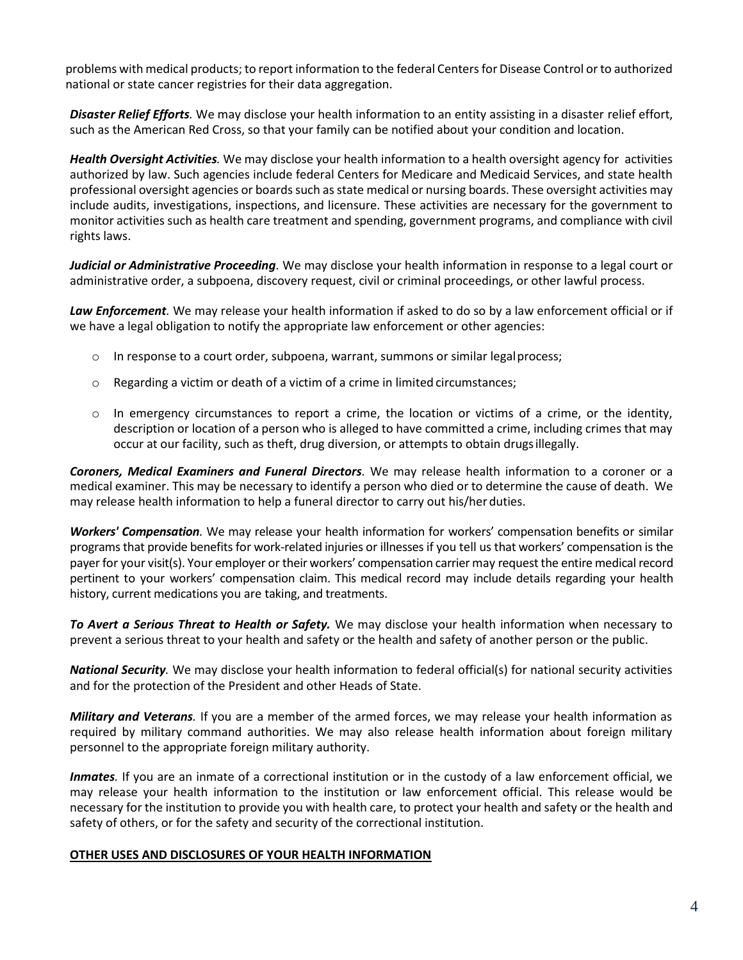problems with medical products; to report information to the federal Centers for Disease Control or to authorized national or state cancer registries for their data aggregation.

*Disaster Relief Efforts.* We may disclose your health information to an entity assisting in a disaster relief effort, such as the American Red Cross, so that your family can be notified about your condition and location.

*Health Oversight Activities.* We may disclose your health information to a health oversight agency for activities authorized by law. Such agencies include federal Centers for Medicare and Medicaid Services, and state health professional oversight agencies or boards such as state medical or nursing boards. These oversight activities may include audits, investigations, inspections, and licensure. These activities are necessary for the government to monitor activities such as health care treatment and spending, government programs, and compliance with civil rights laws.

*Judicial or Administrative Proceeding.* We may disclose your health information in response to a legal court or administrative order, a subpoena, discovery request, civil or criminal proceedings, or other lawful process.

*Law Enforcement.* We may release your health information if asked to do so by a law enforcement official or if we have a legal obligation to notify the appropriate law enforcement or other agencies:

- o In response to a court order, subpoena, warrant, summons or similar legalprocess;
- $\circ$  Regarding a victim or death of a victim of a crime in limited circumstances;
- o In emergency circumstances to report a crime, the location or victims of a crime, or the identity, description or location of a person who is alleged to have committed a crime, including crimes that may occur at our facility, such as theft, drug diversion, or attempts to obtain drugsillegally.

*Coroners, Medical Examiners and Funeral Directors.* We may release health information to a coroner or a medical examiner. This may be necessary to identify a person who died or to determine the cause of death. We may release health information to help a funeral director to carry out his/herduties.

*Workers' Compensation.* We may release your health information for workers' compensation benefits or similar programs that provide benefits for work-related injuries or illnesses if you tell us that workers' compensation is the payer for your visit(s). Your employer or their workers' compensation carrier may request the entire medical record pertinent to your workers' compensation claim. This medical record may include details regarding your health history, current medications you are taking, and treatments.

*To Avert a Serious Threat to Health or Safety.* We may disclose your health information when necessary to prevent a serious threat to your health and safety or the health and safety of another person or the public.

*National Security.* We may disclose your health information to federal official(s) for national security activities and for the protection of the President and other Heads of State.

*Military and Veterans.* If you are a member of the armed forces, we may release your health information as required by military command authorities. We may also release health information about foreign military personnel to the appropriate foreign military authority.

*Inmates.* If you are an inmate of a correctional institution or in the custody of a law enforcement official, we may release your health information to the institution or law enforcement official. This release would be necessary for the institution to provide you with health care, to protect your health and safety or the health and safety of others, or for the safety and security of the correctional institution.

#### **OTHER USES AND DISCLOSURES OF YOUR HEALTH INFORMATION**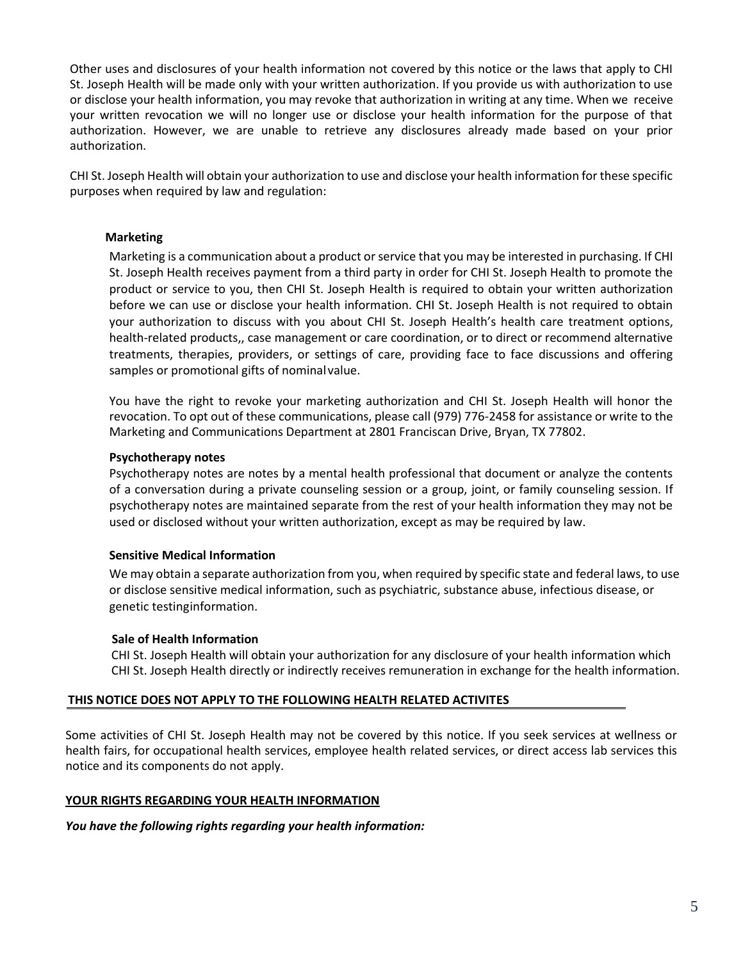Other uses and disclosures of your health information not covered by this notice or the laws that apply to CHI St. Joseph Health will be made only with your written authorization. If you provide us with authorization to use or disclose your health information, you may revoke that authorization in writing at any time. When we receive your written revocation we will no longer use or disclose your health information for the purpose of that authorization. However, we are unable to retrieve any disclosures already made based on your prior authorization.

CHI St. Joseph Health will obtain your authorization to use and disclose your health information for these specific purposes when required by law and regulation:

#### **Marketing**

Marketing is a communication about a product or service that you may be interested in purchasing. If CHI St. Joseph Health receives payment from a third party in order for CHI St. Joseph Health to promote the product or service to you, then CHI St. Joseph Health is required to obtain your written authorization before we can use or disclose your health information. CHI St. Joseph Health is not required to obtain your authorization to discuss with you about CHI St. Joseph Health's health care treatment options, health-related products,, case management or care coordination, or to direct or recommend alternative treatments, therapies, providers, or settings of care, providing face to face discussions and offering samples or promotional gifts of nominal value.

You have the right to revoke your marketing authorization and CHI St. Joseph Health will honor the revocation. To opt out of these communications, please call (979) 776-2458 for assistance or write to the Marketing and Communications Department at 2801 Franciscan Drive, Bryan, TX 77802.

#### **Psychotherapy notes**

Psychotherapy notes are notes by a mental health professional that document or analyze the contents of a conversation during a private counseling session or a group, joint, or family counseling session. If psychotherapy notes are maintained separate from the rest of your health information they may not be used or disclosed without your written authorization, except as may be required by law.

#### **Sensitive Medical Information**

We may obtain a separate authorization from you, when required by specific state and federal laws, to use or disclose sensitive medical information, such as psychiatric, substance abuse, infectious disease, or genetic testinginformation.

#### **Sale of Health Information**

CHI St. Joseph Health will obtain your authorization for any disclosure of your health information which CHI St. Joseph Health directly or indirectly receives remuneration in exchange for the health information.

#### **THIS NOTICE DOES NOT APPLY TO THE FOLLOWING HEALTH RELATED ACTIVITES**

Some activities of CHI St. Joseph Health may not be covered by this notice. If you seek services at wellness or health fairs, for occupational health services, employee health related services, or direct access lab services this notice and its components do not apply.

#### **YOUR RIGHTS REGARDING YOUR HEALTH INFORMATION**

*You have the following rights regarding your health information:*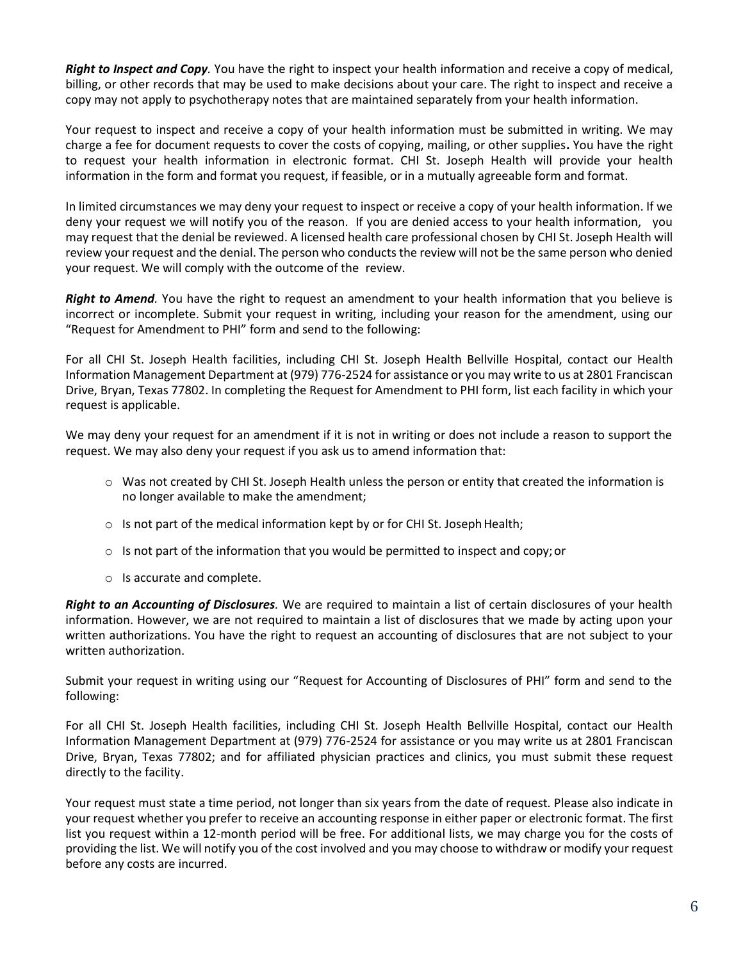*Right to Inspect and Copy.* You have the right to inspect your health information and receive a copy of medical, billing, or other records that may be used to make decisions about your care. The right to inspect and receive a copy may not apply to psychotherapy notes that are maintained separately from your health information.

Your request to inspect and receive a copy of your health information must be submitted in writing. We may charge a fee for document requests to cover the costs of copying, mailing, or other supplies**.** You have the right to request your health information in electronic format. CHI St. Joseph Health will provide your health information in the form and format you request, if feasible, or in a mutually agreeable form and format.

In limited circumstances we may deny your request to inspect or receive a copy of your health information. If we deny your request we will notify you of the reason. If you are denied access to your health information, you may request that the denial be reviewed. A licensed health care professional chosen by CHI St. Joseph Health will review your request and the denial. The person who conducts the review will not be the same person who denied your request. We will comply with the outcome of the review.

*Right to Amend.* You have the right to request an amendment to your health information that you believe is incorrect or incomplete. Submit your request in writing, including your reason for the amendment, using our "Request for Amendment to PHI" form and send to the following:

For all CHI St. Joseph Health facilities, including CHI St. Joseph Health Bellville Hospital, contact our Health Information Management Department at (979) 776-2524 for assistance or you may write to us at 2801 Franciscan Drive, Bryan, Texas 77802. In completing the Request for Amendment to PHI form, list each facility in which your request is applicable.

We may deny your request for an amendment if it is not in writing or does not include a reason to support the request. We may also deny your request if you ask us to amend information that:

- o Was not created by CHI St. Joseph Health unless the person or entity that created the information is no longer available to make the amendment;
- $\circ$  Is not part of the medical information kept by or for CHI St. Joseph Health;
- $\circ$  Is not part of the information that you would be permitted to inspect and copy; or
- o Is accurate and complete.

*Right to an Accounting of Disclosures.* We are required to maintain a list of certain disclosures of your health information. However, we are not required to maintain a list of disclosures that we made by acting upon your written authorizations. You have the right to request an accounting of disclosures that are not subject to your written authorization.

Submit your request in writing using our "Request for Accounting of Disclosures of PHI" form and send to the following:

For all CHI St. Joseph Health facilities, including CHI St. Joseph Health Bellville Hospital, contact our Health Information Management Department at (979) 776-2524 for assistance or you may write us at 2801 Franciscan Drive, Bryan, Texas 77802; and for affiliated physician practices and clinics, you must submit these request directly to the facility.

Your request must state a time period, not longer than six years from the date of request*.* Please also indicate in your request whether you prefer to receive an accounting response in either paper or electronic format. The first list you request within a 12-month period will be free. For additional lists, we may charge you for the costs of providing the list. We will notify you of the cost involved and you may choose to withdraw or modify your request before any costs are incurred.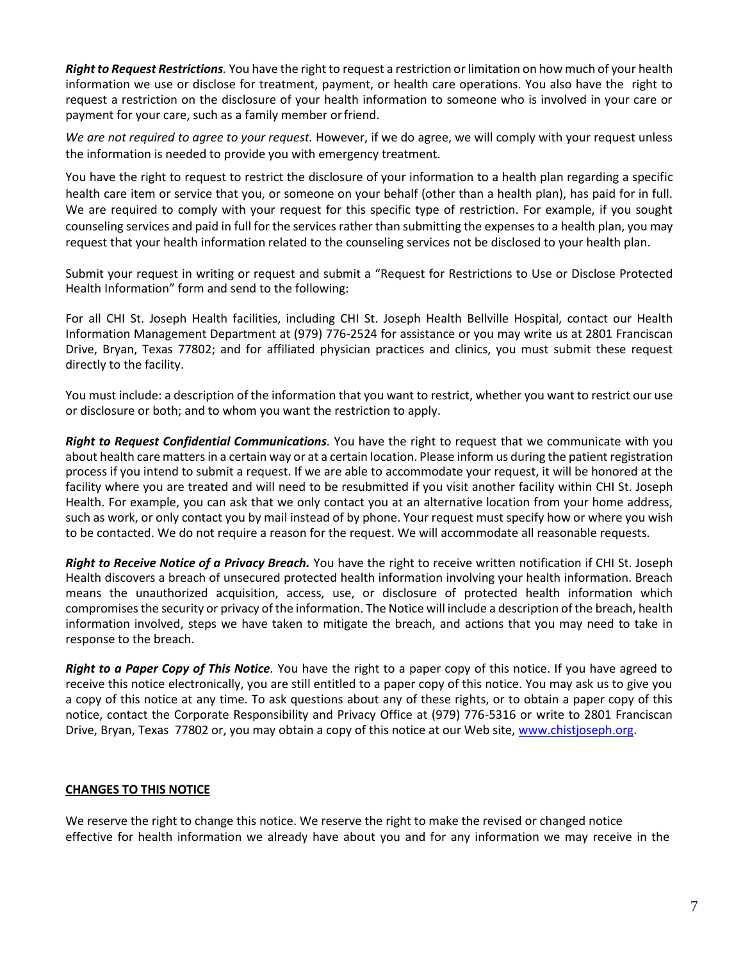*Right to Request Restrictions.* You have the right to request a restriction or limitation on how much of your health information we use or disclose for treatment, payment, or health care operations. You also have the right to request a restriction on the disclosure of your health information to someone who is involved in your care or payment for your care, such as a family member orfriend.

*We are not required to agree to your request.* However, if we do agree, we will comply with your request unless the information is needed to provide you with emergency treatment.

You have the right to request to restrict the disclosure of your information to a health plan regarding a specific health care item or service that you, or someone on your behalf (other than a health plan), has paid for in full. We are required to comply with your request for this specific type of restriction. For example, if you sought counseling services and paid in full for the services rather than submitting the expenses to a health plan, you may request that your health information related to the counseling services not be disclosed to your health plan.

Submit your request in writing or request and submit a "Request for Restrictions to Use or Disclose Protected Health Information" form and send to the following:

For all CHI St. Joseph Health facilities, including CHI St. Joseph Health Bellville Hospital, contact our Health Information Management Department at (979) 776-2524 for assistance or you may write us at 2801 Franciscan Drive, Bryan, Texas 77802; and for affiliated physician practices and clinics, you must submit these request directly to the facility.

You must include: a description of the information that you want to restrict, whether you want to restrict our use or disclosure or both; and to whom you want the restriction to apply.

*Right to Request Confidential Communications.* You have the right to request that we communicate with you about health care matters in a certain way or at a certain location. Please inform us during the patient registration process if you intend to submit a request. If we are able to accommodate your request, it will be honored at the facility where you are treated and will need to be resubmitted if you visit another facility within CHI St. Joseph Health. For example, you can ask that we only contact you at an alternative location from your home address, such as work, or only contact you by mail instead of by phone. Your request must specify how or where you wish to be contacted. We do not require a reason for the request. We will accommodate all reasonable requests.

*Right to Receive Notice of a Privacy Breach.* You have the right to receive written notification if CHI St. Joseph Health discovers a breach of unsecured protected health information involving your health information. Breach means the unauthorized acquisition, access, use, or disclosure of protected health information which compromises the security or privacy of the information. The Notice will include a description of the breach, health information involved, steps we have taken to mitigate the breach, and actions that you may need to take in response to the breach.

*Right to a Paper Copy of This Notice.* You have the right to a paper copy of this notice. If you have agreed to receive this notice electronically, you are still entitled to a paper copy of this notice. You may ask us to give you a copy of this notice at any time. To ask questions about any of these rights, or to obtain a paper copy of this notice, contact the Corporate Responsibility and Privacy Office at (979) 776-5316 or write to 2801 Franciscan Drive, Bryan, Texas 77802 or, you may obtain a copy of this notice at our Web site, [www.chistjoseph.org.](http://www.chistjoseph.org/)

# **CHANGES TO THIS NOTICE**

We reserve the right to change this notice. We reserve the right to make the revised or changed notice effective for health information we already have about you and for any information we may receive in the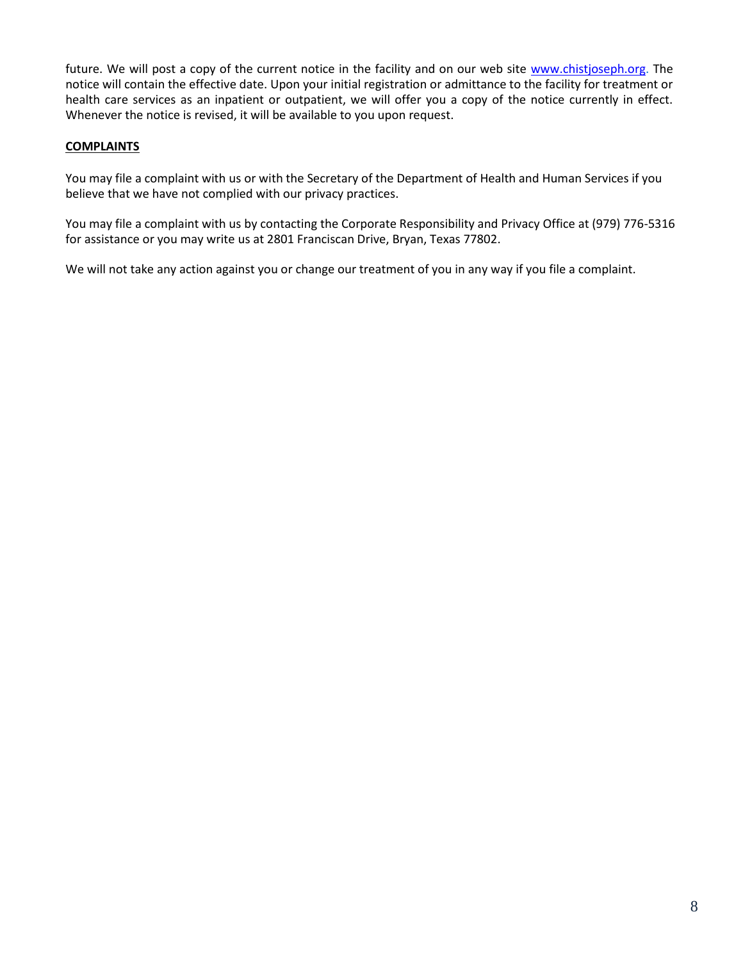future. We will post a copy of the current notice in the facility and on our web site [www.chistjoseph.org.](http://www.chistjoseph.org/) The notice will contain the effective date. Upon your initial registration or admittance to the facility for treatment or health care services as an inpatient or outpatient, we will offer you a copy of the notice currently in effect. Whenever the notice is revised, it will be available to you upon request.

## **COMPLAINTS**

You may file a complaint with us or with the Secretary of the Department of Health and Human Services if you believe that we have not complied with our privacy practices.

You may file a complaint with us by contacting the Corporate Responsibility and Privacy Office at (979) 776-5316 for assistance or you may write us at 2801 Franciscan Drive, Bryan, Texas 77802.

We will not take any action against you or change our treatment of you in any way if you file a complaint.